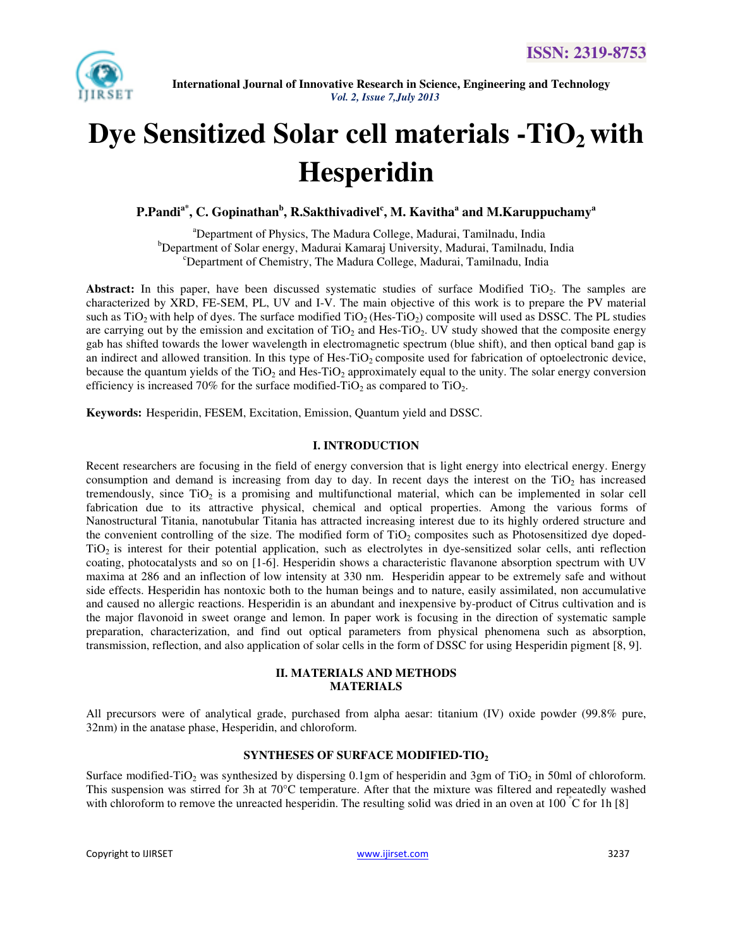

# **Dye Sensitized Solar cell materials -TiO2 with Hesperidin**

**P.Pandia\*, C. Gopinathan<sup>b</sup> , R.Sakthivadivel<sup>c</sup> , M. Kavitha<sup>a</sup> and M.Karuppuchamy<sup>a</sup>** 

<sup>a</sup>Department of Physics, The Madura College, Madurai, Tamilnadu, India <sup>b</sup>Department of Solar energy, Madurai Kamaraj University, Madurai, Tamilnadu, India <sup>c</sup>Department of Chemistry, The Madura College, Madurai, Tamilnadu, India

Abstract: In this paper, have been discussed systematic studies of surface Modified TiO<sub>2</sub>. The samples are characterized by XRD, FE-SEM, PL, UV and I-V. The main objective of this work is to prepare the PV material such as  $TiO<sub>2</sub>$  with help of dyes. The surface modified  $TiO<sub>2</sub>$  (Hes-TiO<sub>2</sub>) composite will used as DSSC. The PL studies are carrying out by the emission and excitation of  $TiO<sub>2</sub>$  and Hes-TiO<sub>2</sub>. UV study showed that the composite energy gab has shifted towards the lower wavelength in electromagnetic spectrum (blue shift), and then optical band gap is an indirect and allowed transition. In this type of Hes-TiO<sub>2</sub> composite used for fabrication of optoelectronic device, because the quantum yields of the  $TiO<sub>2</sub>$  and Hes-TiO<sub>2</sub> approximately equal to the unity. The solar energy conversion efficiency is increased 70% for the surface modified-TiO<sub>2</sub> as compared to TiO<sub>2</sub>.

**Keywords:** Hesperidin, FESEM, Excitation, Emission, Quantum yield and DSSC.

## **I. INTRODUCTION**

Recent researchers are focusing in the field of energy conversion that is light energy into electrical energy. Energy consumption and demand is increasing from day to day. In recent days the interest on the  $TiO<sub>2</sub>$  has increased tremendously, since  $TiO<sub>2</sub>$  is a promising and multifunctional material, which can be implemented in solar cell fabrication due to its attractive physical, chemical and optical properties. Among the various forms of Nanostructural Titania, nanotubular Titania has attracted increasing interest due to its highly ordered structure and the convenient controlling of the size. The modified form of  $TiO<sub>2</sub>$  composites such as Photosensitized dye doped- $TiO<sub>2</sub>$  is interest for their potential application, such as electrolytes in dye-sensitized solar cells, anti reflection coating, photocatalysts and so on [1-6]. Hesperidin shows a characteristic flavanone absorption spectrum with UV maxima at 286 and an inflection of low intensity at 330 nm. Hesperidin appear to be extremely safe and without side effects. Hesperidin has nontoxic both to the human beings and to nature, easily assimilated, non accumulative and caused no allergic reactions. Hesperidin is an abundant and inexpensive by-product of Citrus cultivation and is the major flavonoid in sweet orange and lemon. In paper work is focusing in the direction of systematic sample preparation, characterization, and find out optical parameters from physical phenomena such as absorption, transmission, reflection, and also application of solar cells in the form of DSSC for using Hesperidin pigment [8, 9].

#### **II. MATERIALS AND METHODS MATERIALS**

All precursors were of analytical grade, purchased from alpha aesar: titanium (IV) oxide powder (99.8% pure, 32nm) in the anatase phase, Hesperidin, and chloroform.

# **SYNTHESES OF SURFACE MODIFIED-TIO<sup>2</sup>**

Surface modified-TiO<sub>2</sub> was synthesized by dispersing 0.1gm of hesperidin and 3gm of TiO<sub>2</sub> in 50ml of chloroform. This suspension was stirred for 3h at 70°C temperature. After that the mixture was filtered and repeatedly washed with chloroform to remove the unreacted hesperidin. The resulting solid was dried in an oven at 100  $\degree$ C for 1h [8]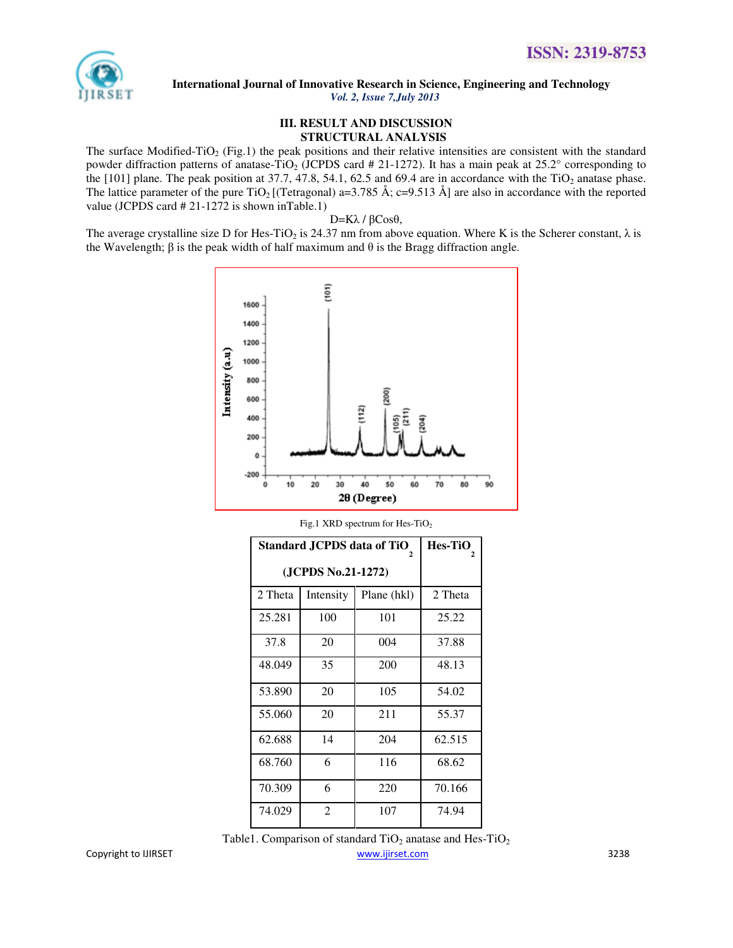

#### **III. RESULT AND DISCUSSION STRUCTURAL ANALYSIS**

The surface Modified-TiO<sub>2</sub> (Fig.1) the peak positions and their relative intensities are consistent with the standard powder diffraction patterns of anatase-TiO<sub>2</sub> (JCPDS card # 21-1272). It has a main peak at 25.2° corresponding to the  $[101]$  plane. The peak position at 37.7, 47.8, 54.1, 62.5 and 69.4 are in accordance with the TiO<sub>2</sub> anatase phase. The lattice parameter of the pure TiO<sub>2</sub> [(Tetragonal) a=3.785 Å; c=9.513 Å] are also in accordance with the reported value (JCPDS card # 21-1272 is shown inTable.1)

## D=Kλ / βCosθ,

The average crystalline size D for Hes-TiO<sub>2</sub> is 24.37 nm from above equation. Where K is the Scherer constant,  $\lambda$  is the Wavelength; β is the peak width of half maximum and  $θ$  is the Bragg diffraction angle.



| Standard JCPDS data of TiO | <b>Hes-TiO</b> |             |         |
|----------------------------|----------------|-------------|---------|
| (JCPDS No.21-1272)         |                |             |         |
| 2 Theta                    | Intensity      | Plane (hkl) | 2 Theta |
| 25.281                     | 100            | 101         | 25.22   |
| 37.8                       | 20             | 004         | 37.88   |
| 48.049                     | 35             | 200         | 48.13   |
| 53.890                     | 20             | 105         | 54.02   |
| 55.060                     | 20             | 211         | 55.37   |
| 62.688                     | 14             | 204         | 62.515  |
| 68.760                     | 6              | 116         | 68.62   |
| 70.309                     | 6              | 220         | 70.166  |
| 74.029                     | $\mathfrak{D}$ | 107         | 74.94   |

Fig.1 XRD spectrum for Hes-TiO<sub>2</sub>

Copyright to IJIRSET www.ijirset.com 3238 Table1. Comparison of standard  $TiO<sub>2</sub>$  anatase and Hes-TiO<sub>2</sub>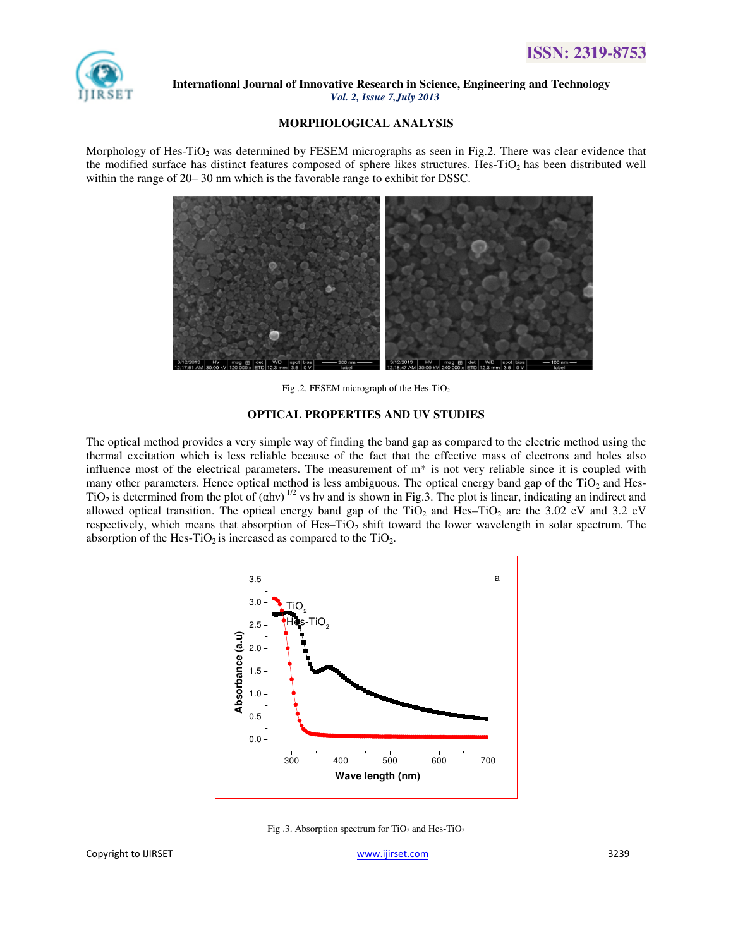

#### **MORPHOLOGICAL ANALYSIS**

Morphology of Hes-TiO<sub>2</sub> was determined by FESEM micrographs as seen in Fig.2. There was clear evidence that the modified surface has distinct features composed of sphere likes structures. Hes-TiO<sub>2</sub> has been distributed well within the range of 20– 30 nm which is the favorable range to exhibit for DSSC.



Fig .2. FESEM micrograph of the Hes-TiO<sup>2</sup>

#### **OPTICAL PROPERTIES AND UV STUDIES**

The optical method provides a very simple way of finding the band gap as compared to the electric method using the thermal excitation which is less reliable because of the fact that the effective mass of electrons and holes also influence most of the electrical parameters. The measurement of  $m^*$  is not very reliable since it is coupled with many other parameters. Hence optical method is less ambiguous. The optical energy band gap of the TiO<sub>2</sub> and Hes-TiO<sub>2</sub> is determined from the plot of  $(ahv)^{1/2}$  vs hv and is shown in Fig.3. The plot is linear, indicating an indirect and allowed optical transition. The optical energy band gap of the TiO<sub>2</sub> and Hes–TiO<sub>2</sub> are the 3.02 eV and 3.2 eV respectively, which means that absorption of Hes–TiO<sub>2</sub> shift toward the lower wavelength in solar spectrum. The absorption of the Hes-TiO<sub>2</sub> is increased as compared to the TiO<sub>2</sub>.



Fig .3. Absorption spectrum for  $TiO<sub>2</sub>$  and Hes-TiO<sub>2</sub>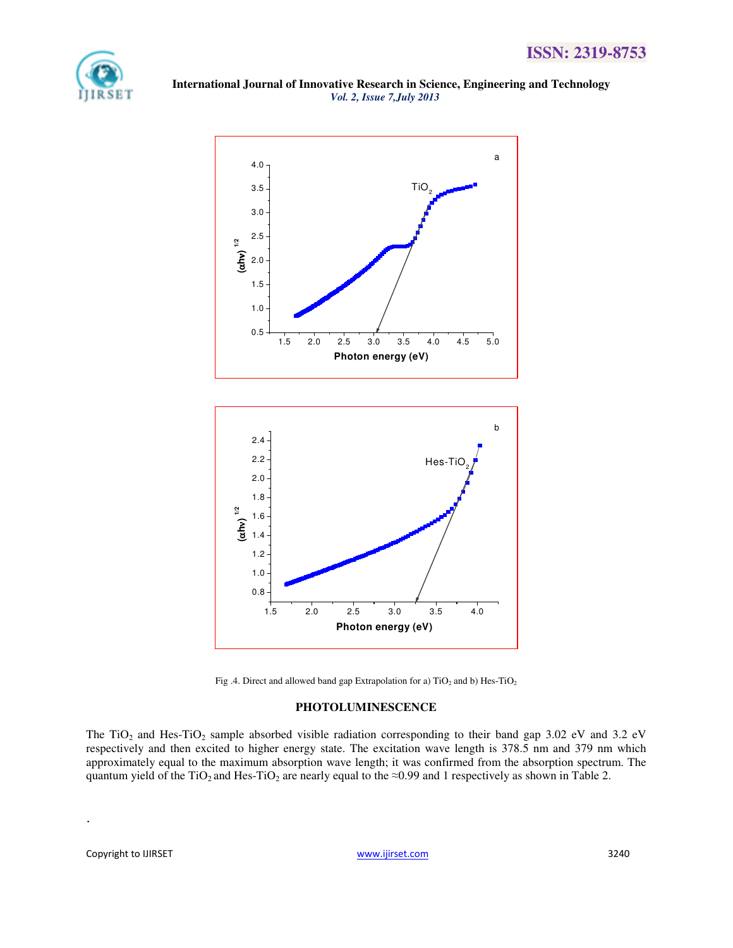

 **International Journal of Innovative Research in Science, Engineering and Technology**   *Vol. 2, Issue 7,July 2013* 





#### **PHOTOLUMINESCENCE**

The TiO<sub>2</sub> and Hes-TiO<sub>2</sub> sample absorbed visible radiation corresponding to their band gap 3.02 eV and 3.2 eV respectively and then excited to higher energy state. The excitation wave length is 378.5 nm and 379 nm which approximately equal to the maximum absorption wave length; it was confirmed from the absorption spectrum. The quantum yield of the TiO<sub>2</sub> and Hes-TiO<sub>2</sub> are nearly equal to the ≈0.99 and 1 respectively as shown in Table 2.

.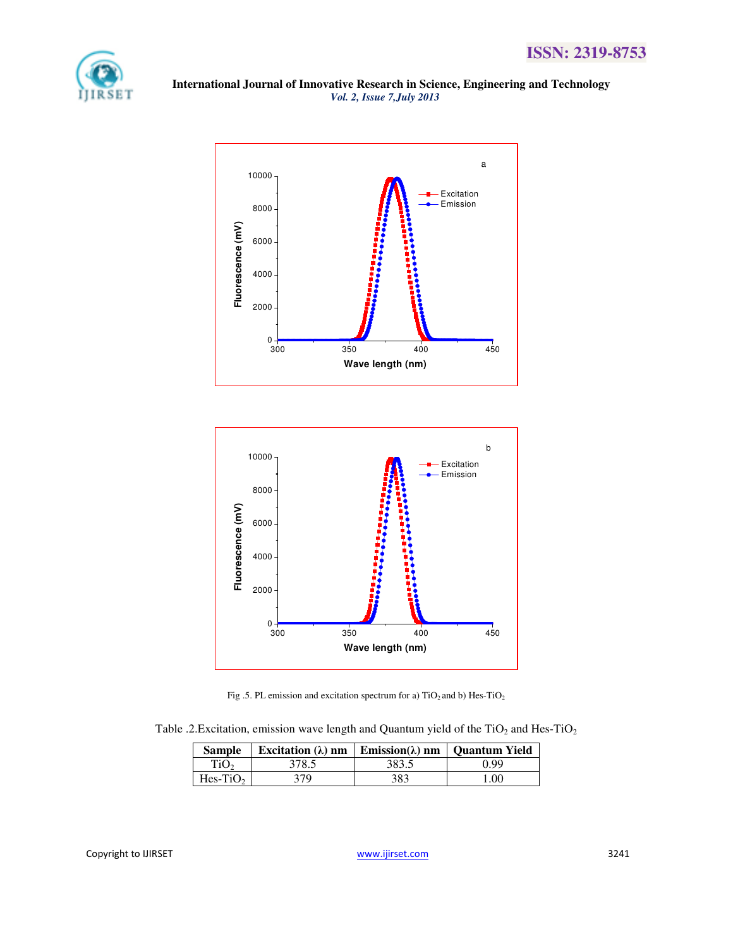





Fig .5. PL emission and excitation spectrum for a)  $TiO<sub>2</sub>$  and b) Hes-TiO<sub>2</sub>

Table .2. Excitation, emission wave length and Quantum yield of the TiO<sub>2</sub> and Hes-TiO<sub>2</sub>

| <b>Sample</b>    | Excitation ( $\lambda$ ) nm   Emission( $\lambda$ ) nm   Quantum Yield |       |      |
|------------------|------------------------------------------------------------------------|-------|------|
| TiO <sub>2</sub> | 378.5                                                                  | 383.5 | ገ 99 |
| $Hes-TiO2$       | 379                                                                    | 383   | .00  |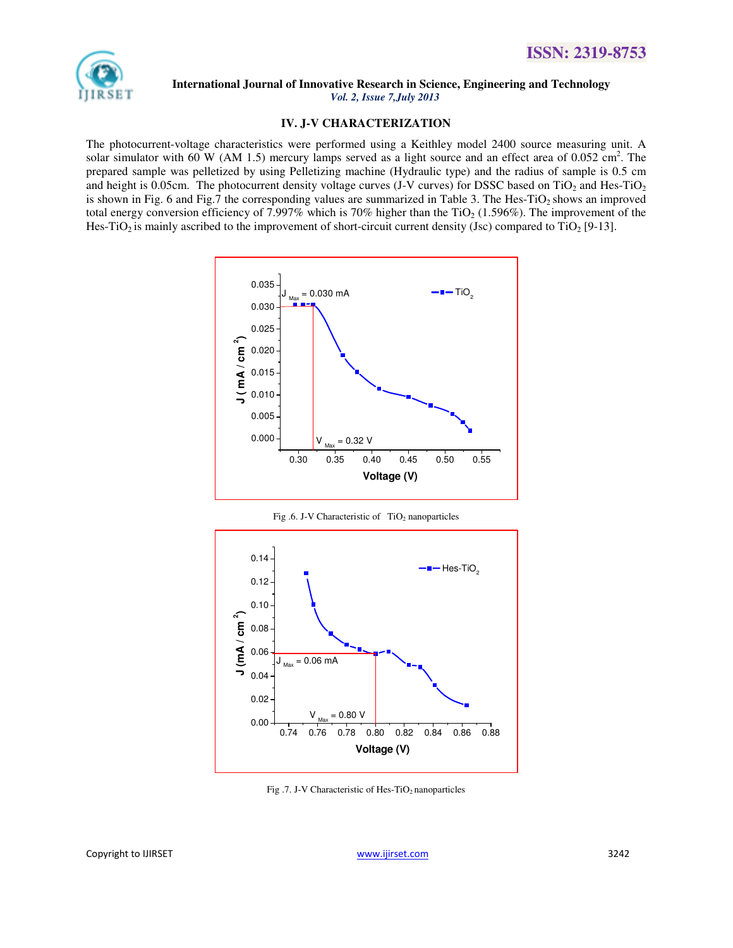

#### **IV. J-V CHARACTERIZATION**

The photocurrent-voltage characteristics were performed using a Keithley model 2400 source measuring unit. A solar simulator with 60 W (AM 1.5) mercury lamps served as a light source and an effect area of 0.052 cm<sup>2</sup>. The prepared sample was pelletized by using Pelletizing machine (Hydraulic type) and the radius of sample is 0.5 cm and height is 0.05cm. The photocurrent density voltage curves (J-V curves) for DSSC based on TiO<sub>2</sub> and Hes-TiO<sub>2</sub> is shown in Fig. 6 and Fig. 7 the corresponding values are summarized in Table 3. The Hes-TiO<sub>2</sub> shows an improved total energy conversion efficiency of 7.997% which is 70% higher than the  $TiO<sub>2</sub> (1.596%)$ . The improvement of the Hes-TiO<sub>2</sub> is mainly ascribed to the improvement of short-circuit current density (Jsc) compared to TiO<sub>2</sub> [9-13].



Fig .6. J-V Characteristic of  $TiO<sub>2</sub>$  nanoparticles



Fig .7. J-V Characteristic of Hes-TiO<sub>2</sub> nanoparticles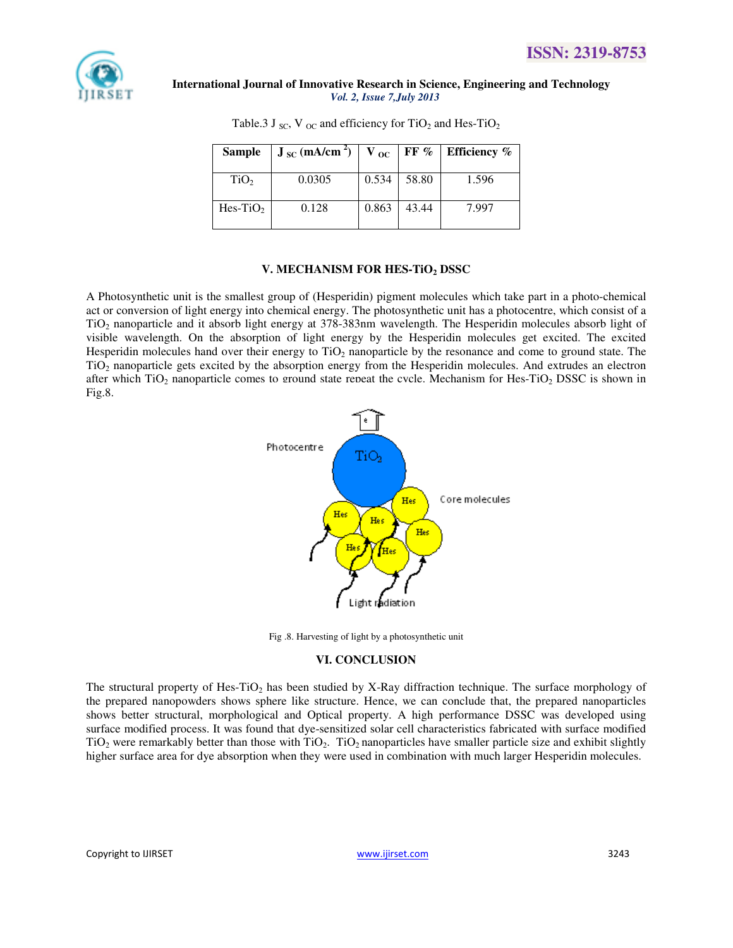

| <b>Sample</b>    | $J_{\rm SC}$ (mA/cm <sup>2</sup> ) | $V_{\rm oc}$ |       | FF $\%$ Efficiency $\%$ |
|------------------|------------------------------------|--------------|-------|-------------------------|
| TiO <sub>2</sub> | 0.0305                             | 0.534        | 58.80 | 1.596                   |
| $Hes-TiO2$       | 0.128                              | 0.863        | 43.44 | 7.997                   |

Table.3 J  $_{\text{SC}}$ , V  $_{\text{OC}}$  and efficiency for TiO<sub>2</sub> and Hes-TiO<sub>2</sub>

# **V. MECHANISM FOR HES-TiO2 DSSC**

A Photosynthetic unit is the smallest group of (Hesperidin) pigment molecules which take part in a photo-chemical act or conversion of light energy into chemical energy. The photosynthetic unit has a photocentre, which consist of a TiO2 nanoparticle and it absorb light energy at 378-383nm wavelength. The Hesperidin molecules absorb light of visible wavelength. On the absorption of light energy by the Hesperidin molecules get excited. The excited Hesperidin molecules hand over their energy to  $TiO<sub>2</sub>$  nanoparticle by the resonance and come to ground state. The TiO2 nanoparticle gets excited by the absorption energy from the Hesperidin molecules. And extrudes an electron after which  $TiO<sub>2</sub>$  nanoparticle comes to ground state repeat the cycle. Mechanism for Hes-TiO<sub>2</sub> DSSC is shown in Fig.8.



Fig .8. Harvesting of light by a photosynthetic unit

# **VI. CONCLUSION**

The structural property of Hes-TiO<sub>2</sub> has been studied by X-Ray diffraction technique. The surface morphology of the prepared nanopowders shows sphere like structure. Hence, we can conclude that, the prepared nanoparticles shows better structural, morphological and Optical property. A high performance DSSC was developed using surface modified process. It was found that dye-sensitized solar cell characteristics fabricated with surface modified  $TiO<sub>2</sub>$  were remarkably better than those with  $TiO<sub>2</sub>$ . TiO<sub>2</sub> nanoparticles have smaller particle size and exhibit slightly higher surface area for dye absorption when they were used in combination with much larger Hesperidin molecules.